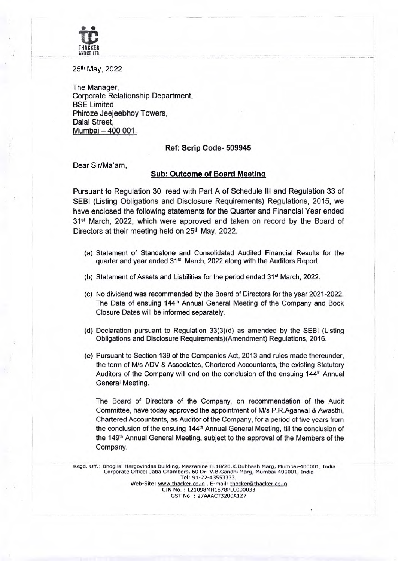

25th May, 2022

The Manager, Corporate Relationship Department, BSE Limited Phiroze Jeejeebhoy Towers, Dalal Street, Mumbai-400 001.

## **Ref: Scrip Code- 509945**

Dear Sir/Ma'am,

## **Sub: Outcome of Board Meeting**

Pursuant to Regulation 30, read with Part A of Schedule Ill and Regulation 33 of SEBI (Listing Obligations and Disclosure Requirements) Regulations, 2015, we have enclosed the following statements for the Quarter and Financial Year ended 31<sup>st</sup> March, 2022, which were approved and taken on record by the Board of Directors at their meeting held on **25th** May, 2022.

- (a) Statement of Standalone and Consolidated Audited Financial Results for the quarter and year ended 31<sup>st</sup> March, 2022 along with the Auditors Report
- (b) Statement of Assets and Liabilities for the period ended 31st March, 2022.
- (c) No dividend was recommended by the Board of Directors for the year 2021-2022. The Date of ensuing  $144<sup>th</sup>$  Annual General Meeting of the Company and Book Closure Dates will be informed separately.
- (d) Declaration pursuant to Regulation 33(3)(d) as amended by the SEBI (Listing Obligations and Disclosure Requirements)(Amendment) Regulations, 2016.
- (e) Pursuant to Section 139 of the Companies Act, 2013 and rules made thereunder, the term of M/s ADV & Associates, Chartered Accountants, the existing Statutory Auditors of the Company will end on the conclusion of the ensuing 144<sup>th</sup> Annual General Meeting.

The Board of Directors of the Company, on recommendation of the Audit Committee, have today approved the appointment of M/s P.R.Agarwal & Awasthi, Chartered Accountants, as Auditor of the Company, for a period of five years from the conclusion of the ensuing 144<sup>th</sup> Annual General Meeting, till the conclusion of the 149<sup>th</sup> Annual General Meeting, subject to the approval of the Members of the Company.

Regd. Off.: Bhogilal Hargovindas Building, Mezzanine Fl.18/20,K.Dubhash Marg, Mumbai-400001, India Corporate Office: Jatia Chambers, 60 Dr. V.B.Gandhi Marg, Mumbai-400001, India **Tel: 91-22-43553333, Web-Site: www.thacker.co.in** , **E-mail: thacker@lthacker.co.in CIN No. L21098MH1878PLC000033 GST No.: 27AAACT3200A1Z7**